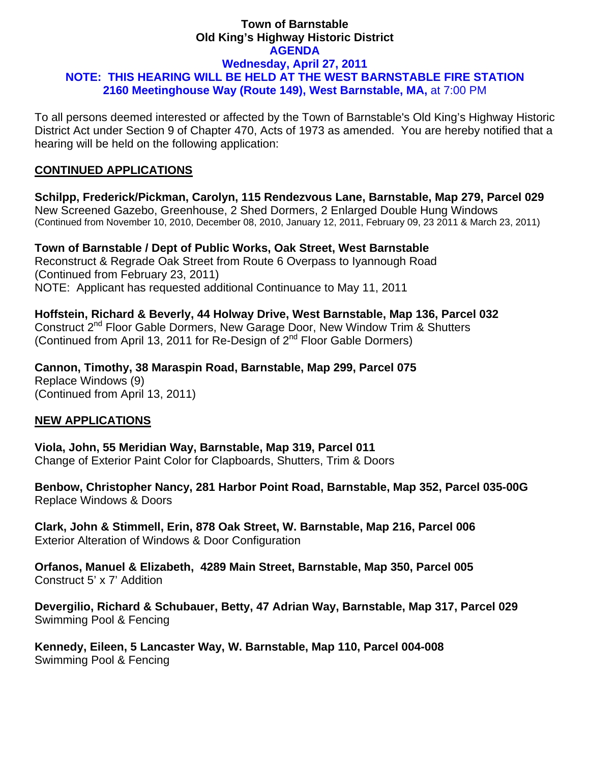### **Town of Barnstable Old King's Highway Historic District AGENDA Wednesday, April 27, 2011 NOTE: THIS HEARING WILL BE HELD AT THE WEST BARNSTABLE FIRE STATION 2160 Meetinghouse Way (Route 149), West Barnstable, MA,** at 7:00 PM

To all persons deemed interested or affected by the Town of Barnstable's Old King's Highway Historic District Act under Section 9 of Chapter 470, Acts of 1973 as amended. You are hereby notified that a hearing will be held on the following application:

## **CONTINUED APPLICATIONS**

**Schilpp, Frederick/Pickman, Carolyn, 115 Rendezvous Lane, Barnstable, Map 279, Parcel 029**  New Screened Gazebo, Greenhouse, 2 Shed Dormers, 2 Enlarged Double Hung Windows (Continued from November 10, 2010, December 08, 2010, January 12, 2011, February 09, 23 2011 & March 23, 2011)

**Town of Barnstable / Dept of Public Works, Oak Street, West Barnstable**  Reconstruct & Regrade Oak Street from Route 6 Overpass to Iyannough Road (Continued from February 23, 2011) NOTE: Applicant has requested additional Continuance to May 11, 2011

**Hoffstein, Richard & Beverly, 44 Holway Drive, West Barnstable, Map 136, Parcel 032**  Construct 2<sup>nd</sup> Floor Gable Dormers, New Garage Door, New Window Trim & Shutters (Continued from April 13, 2011 for Re-Design of  $2^{nd}$  Floor Gable Dormers)

**Cannon, Timothy, 38 Maraspin Road, Barnstable, Map 299, Parcel 075**  Replace Windows (9) (Continued from April 13, 2011)

# **NEW APPLICATIONS**

**Viola, John, 55 Meridian Way, Barnstable, Map 319, Parcel 011**  Change of Exterior Paint Color for Clapboards, Shutters, Trim & Doors

**Benbow, Christopher Nancy, 281 Harbor Point Road, Barnstable, Map 352, Parcel 035-00G**  Replace Windows & Doors

**Clark, John & Stimmell, Erin, 878 Oak Street, W. Barnstable, Map 216, Parcel 006**  Exterior Alteration of Windows & Door Configuration

**Orfanos, Manuel & Elizabeth, 4289 Main Street, Barnstable, Map 350, Parcel 005**  Construct 5' x 7' Addition

**Devergilio, Richard & Schubauer, Betty, 47 Adrian Way, Barnstable, Map 317, Parcel 029**  Swimming Pool & Fencing

**Kennedy, Eileen, 5 Lancaster Way, W. Barnstable, Map 110, Parcel 004-008**  Swimming Pool & Fencing